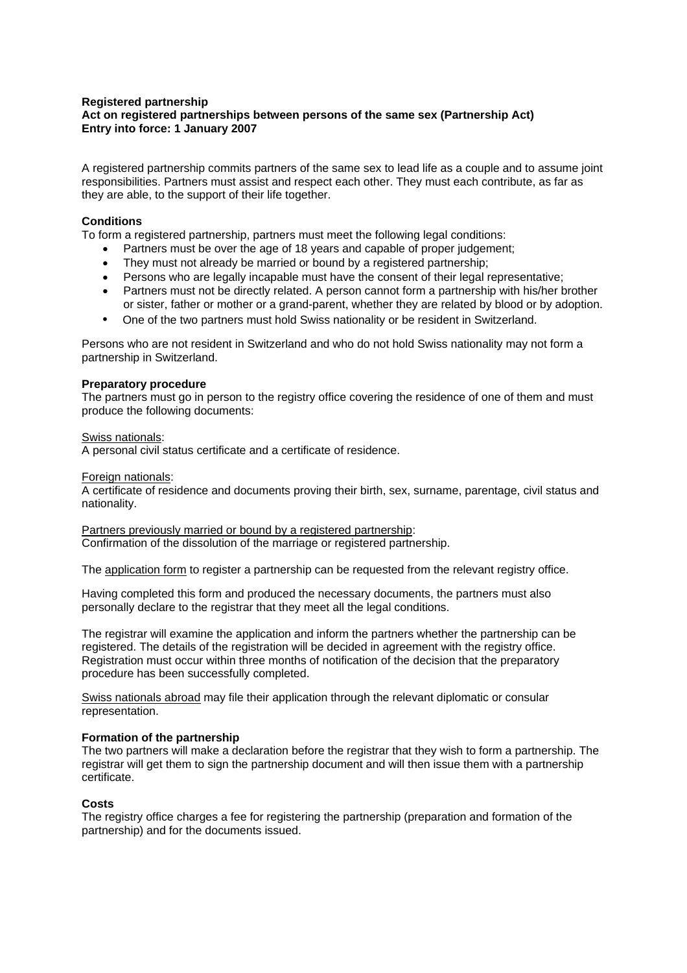## **Registered partnership Act on registered partnerships between persons of the same sex (Partnership Act) Entry into force: 1 January 2007**

A registered partnership commits partners of the same sex to lead life as a couple and to assume joint responsibilities. Partners must assist and respect each other. They must each contribute, as far as they are able, to the support of their life together.

## **Conditions**

To form a registered partnership, partners must meet the following legal conditions:

- Partners must be over the age of 18 years and capable of proper judgement;
- They must not already be married or bound by a registered partnership;
- Persons who are legally incapable must have the consent of their legal representative;
- Partners must not be directly related. A person cannot form a partnership with his/her brother or sister, father or mother or a grand-parent, whether they are related by blood or by adoption.
- One of the two partners must hold Swiss nationality or be resident in Switzerland.

Persons who are not resident in Switzerland and who do not hold Swiss nationality may not form a partnership in Switzerland.

### **Preparatory procedure**

The partners must go in person to the registry office covering the residence of one of them and must produce the following documents:

Swiss nationals:

A personal civil status certificate and a certificate of residence.

#### Foreign nationals:

A certificate of residence and documents proving their birth, sex, surname, parentage, civil status and nationality.

Partners previously married or bound by a registered partnership: Confirmation of the dissolution of the marriage or registered partnership.

The application form to register a partnership can be requested from the relevant registry office.

Having completed this form and produced the necessary documents, the partners must also personally declare to the registrar that they meet all the legal conditions.

The registrar will examine the application and inform the partners whether the partnership can be registered. The details of the registration will be decided in agreement with the registry office. Registration must occur within three months of notification of the decision that the preparatory procedure has been successfully completed.

Swiss nationals abroad may file their application through the relevant diplomatic or consular representation.

### **Formation of the partnership**

The two partners will make a declaration before the registrar that they wish to form a partnership. The registrar will get them to sign the partnership document and will then issue them with a partnership certificate.

### **Costs**

The registry office charges a fee for registering the partnership (preparation and formation of the partnership) and for the documents issued.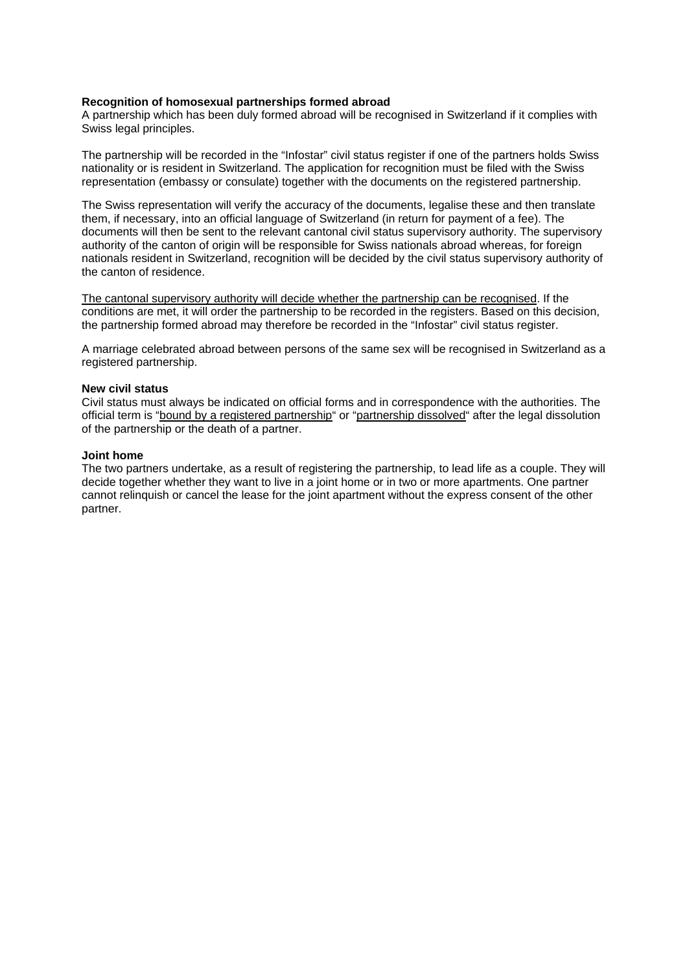#### **Recognition of homosexual partnerships formed abroad**

A partnership which has been duly formed abroad will be recognised in Switzerland if it complies with Swiss legal principles.

The partnership will be recorded in the "Infostar" civil status register if one of the partners holds Swiss nationality or is resident in Switzerland. The application for recognition must be filed with the Swiss representation (embassy or consulate) together with the documents on the registered partnership.

The Swiss representation will verify the accuracy of the documents, legalise these and then translate them, if necessary, into an official language of Switzerland (in return for payment of a fee). The documents will then be sent to the relevant cantonal civil status supervisory authority. The supervisory authority of the canton of origin will be responsible for Swiss nationals abroad whereas, for foreign nationals resident in Switzerland, recognition will be decided by the civil status supervisory authority of the canton of residence.

The cantonal supervisory authority will decide whether the partnership can be recognised. If the conditions are met, it will order the partnership to be recorded in the registers. Based on this decision, the partnership formed abroad may therefore be recorded in the "Infostar" civil status register.

A marriage celebrated abroad between persons of the same sex will be recognised in Switzerland as a registered partnership.

#### **New civil status**

Civil status must always be indicated on official forms and in correspondence with the authorities. The official term is "bound by a registered partnership" or "partnership dissolved" after the legal dissolution of the partnership or the death of a partner.

#### **Joint home**

The two partners undertake, as a result of registering the partnership, to lead life as a couple. They will decide together whether they want to live in a joint home or in two or more apartments. One partner cannot relinquish or cancel the lease for the joint apartment without the express consent of the other partner.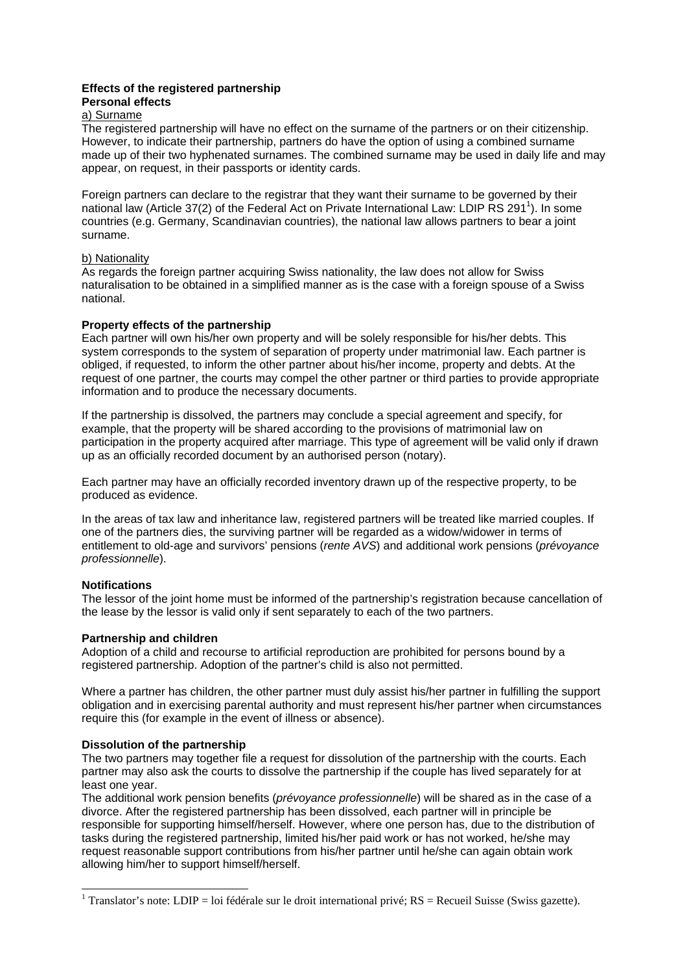#### **Effects of the registered partnership Personal effects**

# a) Surname

The registered partnership will have no effect on the surname of the partners or on their citizenship. However, to indicate their partnership, partners do have the option of using a combined surname made up of their two hyphenated surnames. The combined surname may be used in daily life and may appear, on request, in their passports or identity cards.

Foreign partners can declare to the registrar that they want their surname to be governed by their national law (Article 37(2) of the Federal Act on Private International Law: LDIP RS 291<sup>1</sup>). In some countries (e.g. Germany, Scandinavian countries), the national law allows partners to bear a joint surname.

## b) Nationality

As regards the foreign partner acquiring Swiss nationality, the law does not allow for Swiss naturalisation to be obtained in a simplified manner as is the case with a foreign spouse of a Swiss national.

## **Property effects of the partnership**

Each partner will own his/her own property and will be solely responsible for his/her debts. This system corresponds to the system of separation of property under matrimonial law. Each partner is obliged, if requested, to inform the other partner about his/her income, property and debts. At the request of one partner, the courts may compel the other partner or third parties to provide appropriate information and to produce the necessary documents.

If the partnership is dissolved, the partners may conclude a special agreement and specify, for example, that the property will be shared according to the provisions of matrimonial law on participation in the property acquired after marriage. This type of agreement will be valid only if drawn up as an officially recorded document by an authorised person (notary).

Each partner may have an officially recorded inventory drawn up of the respective property, to be produced as evidence.

In the areas of tax law and inheritance law, registered partners will be treated like married couples. If one of the partners dies, the surviving partner will be regarded as a widow/widower in terms of entitlement to old-age and survivors' pensions (*rente AVS*) and additional work pensions (*prévoyance professionnelle*).

# **Notifications**

1

The lessor of the joint home must be informed of the partnership's registration because cancellation of the lease by the lessor is valid only if sent separately to each of the two partners.

# **Partnership and children**

Adoption of a child and recourse to artificial reproduction are prohibited for persons bound by a registered partnership. Adoption of the partner's child is also not permitted.

Where a partner has children, the other partner must duly assist his/her partner in fulfilling the support obligation and in exercising parental authority and must represent his/her partner when circumstances require this (for example in the event of illness or absence).

# **Dissolution of the partnership**

The two partners may together file a request for dissolution of the partnership with the courts. Each partner may also ask the courts to dissolve the partnership if the couple has lived separately for at least one year.

The additional work pension benefits (*prévoyance professionnelle*) will be shared as in the case of a divorce. After the registered partnership has been dissolved, each partner will in principle be responsible for supporting himself/herself. However, where one person has, due to the distribution of tasks during the registered partnership, limited his/her paid work or has not worked, he/she may request reasonable support contributions from his/her partner until he/she can again obtain work allowing him/her to support himself/herself.

<sup>&</sup>lt;sup>1</sup> Translator's note: LDIP = loi fédérale sur le droit international privé;  $RS = Recueli$  Suisse (Swiss gazette).